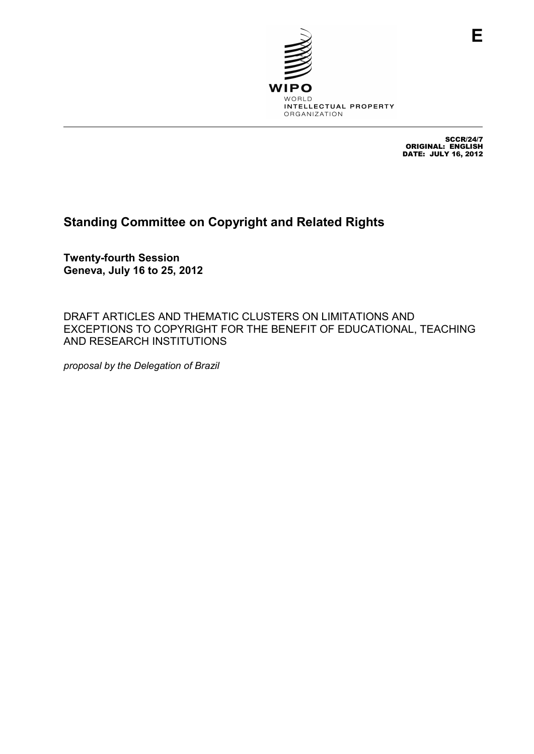

SCCR/24/7 ORIGINAL: ENGLISH DATE: JULY 16, 2012

## **Standing Committee on Copyright and Related Rights**

**Twenty-fourth Session Geneva, July 16 to 25, 2012** 

DRAFT ARTICLES AND THEMATIC CLUSTERS ON LIMITATIONS AND EXCEPTIONS TO COPYRIGHT FOR THE BENEFIT OF EDUCATIONAL, TEACHING AND RESEARCH INSTITUTIONS

*proposal by the Delegation of Brazil*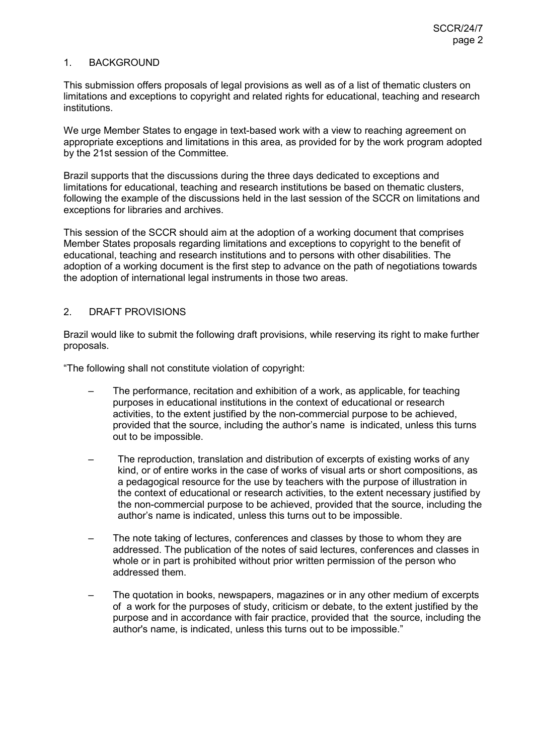## 1. BACKGROUND

This submission offers proposals of legal provisions as well as of a list of thematic clusters on limitations and exceptions to copyright and related rights for educational, teaching and research institutions.

We urge Member States to engage in text-based work with a view to reaching agreement on appropriate exceptions and limitations in this area, as provided for by the work program adopted by the 21st session of the Committee.

Brazil supports that the discussions during the three days dedicated to exceptions and limitations for educational, teaching and research institutions be based on thematic clusters, following the example of the discussions held in the last session of the SCCR on limitations and exceptions for libraries and archives.

This session of the SCCR should aim at the adoption of a working document that comprises Member States proposals regarding limitations and exceptions to copyright to the benefit of educational, teaching and research institutions and to persons with other disabilities. The adoption of a working document is the first step to advance on the path of negotiations towards the adoption of international legal instruments in those two areas.

## 2. DRAFT PROVISIONS

Brazil would like to submit the following draft provisions, while reserving its right to make further proposals.

"The following shall not constitute violation of copyright:

- The performance, recitation and exhibition of a work, as applicable, for teaching purposes in educational institutions in the context of educational or research activities, to the extent justified by the non-commercial purpose to be achieved, provided that the source, including the author's name is indicated, unless this turns out to be impossible.
- The reproduction, translation and distribution of excerpts of existing works of any kind, or of entire works in the case of works of visual arts or short compositions, as a pedagogical resource for the use by teachers with the purpose of illustration in the context of educational or research activities, to the extent necessary justified by the non-commercial purpose to be achieved, provided that the source, including the author's name is indicated, unless this turns out to be impossible.
- The note taking of lectures, conferences and classes by those to whom they are addressed. The publication of the notes of said lectures, conferences and classes in whole or in part is prohibited without prior written permission of the person who addressed them.
- The quotation in books, newspapers, magazines or in any other medium of excerpts of a work for the purposes of study, criticism or debate, to the extent justified by the purpose and in accordance with fair practice, provided that the source, including the author's name, is indicated, unless this turns out to be impossible."